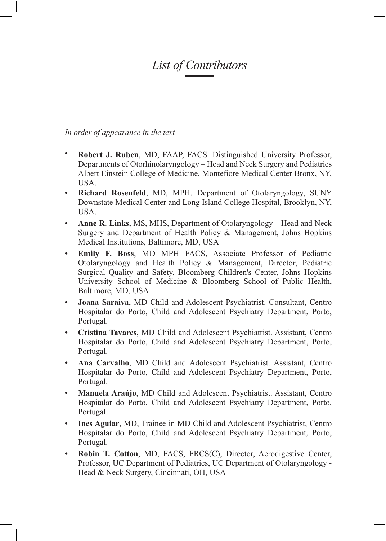## *List of Contributors*

*In order of appearance in the text*

- **• Robert J. Ruben**, MD, FAAP, FACS. Distinguished University Professor, Departments of Otorhinolaryngology – Head and Neck Surgery and Pediatrics Albert Einstein College of Medicine, Montefiore Medical Center Bronx, NY, USA.
- **• Richard Rosenfeld**, MD, MPH. Department of Otolaryngology, SUNY Downstate Medical Center and Long Island College Hospital, Brooklyn, NY, USA.
- **• Anne R. Links**, MS, MHS, Department of Otolaryngology—Head and Neck Surgery and Department of Health Policy & Management, Johns Hopkins Medical Institutions, Baltimore, MD, USA
- **• Emily F. Boss**, MD MPH FACS, Associate Professor of Pediatric Otolaryngology and Health Policy & Management, Director, Pediatric Surgical Quality and Safety, Bloomberg Children's Center, Johns Hopkins University School of Medicine & Bloomberg School of Public Health, Baltimore, MD, USA
- **• Joana Saraiva**, MD Child and Adolescent Psychiatrist. Consultant, Centro Hospitalar do Porto, Child and Adolescent Psychiatry Department, Porto, Portugal.
- **• Cristina Tavares**, MD Child and Adolescent Psychiatrist. Assistant, Centro Hospitalar do Porto, Child and Adolescent Psychiatry Department, Porto, Portugal.
- **• Ana Carvalho**, MD Child and Adolescent Psychiatrist. Assistant, Centro Hospitalar do Porto, Child and Adolescent Psychiatry Department, Porto, Portugal.
- **• Manuela Araújo**, MD Child and Adolescent Psychiatrist. Assistant, Centro Hospitalar do Porto, Child and Adolescent Psychiatry Department, Porto, Portugal.
- **Ines Aguiar, MD, Trainee in MD Child and Adolescent Psychiatrist, Centro** Hospitalar do Porto, Child and Adolescent Psychiatry Department, Porto, Portugal.
- **• Robin T. Cotton**, MD, FACS, FRCS(C), Director, Aerodigestive Center, Professor, UC Department of Pediatrics, UC Department of Otolaryngology - Head & Neck Surgery, Cincinnati, OH, USA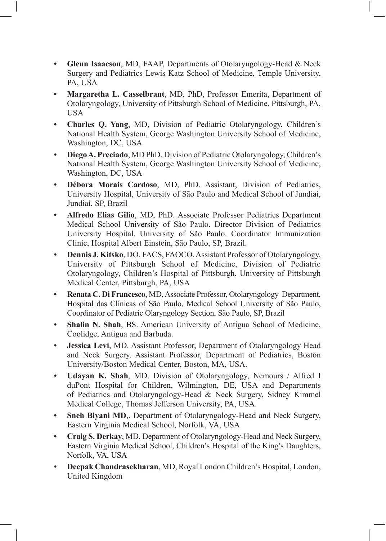- **• Glenn Isaacson**, MD, FAAP, Departments of Otolaryngology-Head & Neck Surgery and Pediatrics Lewis Katz School of Medicine, Temple University, PA, USA
- **• Margaretha L. Casselbrant**, MD, PhD, Professor Emerita, Department of Otolaryngology, University of Pittsburgh School of Medicine, Pittsburgh, PA, USA
- **• Charles Q. Yang**, MD, Division of Pediatric Otolaryngology, Children's National Health System, George Washington University School of Medicine, Washington, DC, USA
- **• Diego A. Preciado**, MD PhD, Division of Pediatric Otolaryngology, Children's National Health System, George Washington University School of Medicine, Washington, DC, USA
- **• Débora Morais Cardoso**, MD, PhD. Assistant, Division of Pediatrics, University Hospital, University of São Paulo and Medical School of Jundiaí, Jundiaí, SP, Brazil
- **• Alfredo Elias Gilio**, MD, PhD. Associate Professor Pediatrics Department Medical School University of São Paulo. Director Division of Pediatrics University Hospital, University of São Paulo. Coordinator Immunization Clinic, Hospital Albert Einstein, São Paulo, SP, Brazil.
- **• Dennis J. Kitsko**, DO, FACS, FAOCO, Assistant Professor of Otolaryngology, University of Pittsburgh School of Medicine, Division of Pediatric Otolaryngology, Children's Hospital of Pittsburgh, University of Pittsburgh Medical Center, Pittsburgh, PA, USA
- **• Renata C. Di Francesco**, MD, Associate Professor, Otolaryngology Department, Hospital das Clínicas of São Paulo, Medical School University of São Paulo, Coordinator of Pediatric Olaryngology Section, São Paulo, SP, Brazil
- **• Shalin N. Shah**, BS. American University of Antigua School of Medicine, Coolidge, Antigua and Barbuda.
- **• Jessica Levi**, MD. Assistant Professor, Department of Otolaryngology Head and Neck Surgery. Assistant Professor, Department of Pediatrics, Boston University/Boston Medical Center, Boston, MA, USA.
- **Udayan K. Shah**, MD. Division of Otolaryngology, Nemours / Alfred I duPont Hospital for Children, Wilmington, DE, USA and Departments of Pediatrics and Otolaryngology-Head & Neck Surgery, Sidney Kimmel Medical College, Thomas Jefferson University, PA, USA.
- **• Sneh Biyani MD**,. Department of Otolaryngology-Head and Neck Surgery, Eastern Virginia Medical School, Norfolk, VA, USA
- **• Craig S. Derkay**, MD. Department of Otolaryngology-Head and Neck Surgery, Eastern Virginia Medical School, Children's Hospital of the King's Daughters, Norfolk, VA, USA
- **• Deepak Chandrasekharan**, MD, Royal London Children's Hospital, London, United Kingdom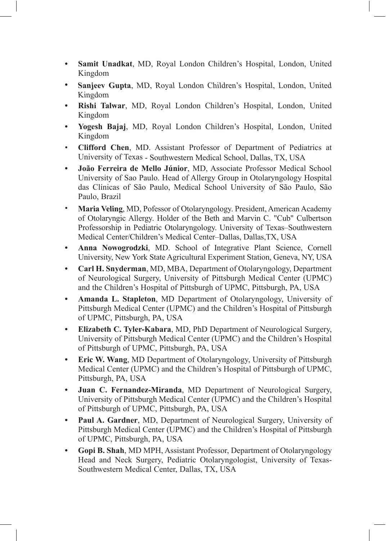- **• Samit Unadkat**, MD, Royal London Children's Hospital, London, United Kingdom
- **• Sanjeev Gupta**, MD, Royal London Children's Hospital, London, United Kingdom
- **• Rishi Talwar**, MD, Royal London Children's Hospital, London, United Kingdom
- **• Yogesh Bajaj**, MD, Royal London Children's Hospital, London, United Kingdom
- • **Clifford Chen**, MD. Assistant Professor of Department of Pediatrics at University of Texas - Southwestern Medical School, Dallas, TX, USA
- **• João Ferreira de Mello Júnior**, MD, Associate Professor Medical School University of Sao Paulo. Head of Allergy Group in Otolaryngology Hospital das Clínicas of São Paulo, Medical School University of São Paulo, São Paulo, Brazil
- **Maria Veling**, MD, Pofessor of Otolaryngology. President, American Academy of Otolaryngic Allergy. Holder of the Beth and Marvin C. "Cub" Culbertson Professorship in Pediatric Otolaryngology. University of Texas–Southwestern Medical Center/Children's Medical Center–Dallas, Dallas,TX, USA
- **• Anna Nowogrodzki**, MD. School of Integrative Plant Science, Cornell University, New York State Agricultural Experiment Station, Geneva, NY, USA
- **• Carl H. Snyderman**, MD, MBA, Department of Otolaryngology, Department of Neurological Surgery, University of Pittsburgh Medical Center (UPMC) and the Children's Hospital of Pittsburgh of UPMC, Pittsburgh, PA, USA
- **• Amanda L. Stapleton**, MD Department of Otolaryngology, University of Pittsburgh Medical Center (UPMC) and the Children's Hospital of Pittsburgh of UPMC, Pittsburgh, PA, USA
- **• Elizabeth C. Tyler-Kabara**, MD, PhD Department of Neurological Surgery, University of Pittsburgh Medical Center (UPMC) and the Children's Hospital of Pittsburgh of UPMC, Pittsburgh, PA, USA
- **• Eric W. Wang**, MD Department of Otolaryngology, University of Pittsburgh Medical Center (UPMC) and the Children's Hospital of Pittsburgh of UPMC, Pittsburgh, PA, USA
- **• Juan C. Fernandez-Miranda**, MD Department of Neurological Surgery, University of Pittsburgh Medical Center (UPMC) and the Children's Hospital of Pittsburgh of UPMC, Pittsburgh, PA, USA
- **• Paul A. Gardner**, MD, Department of Neurological Surgery, University of Pittsburgh Medical Center (UPMC) and the Children's Hospital of Pittsburgh of UPMC, Pittsburgh, PA, USA
- **• Gopi B. Shah**, MD MPH, Assistant Professor, Department of Otolaryngology Head and Neck Surgery, Pediatric Otolaryngologist, University of Texas-Southwestern Medical Center, Dallas, TX, USA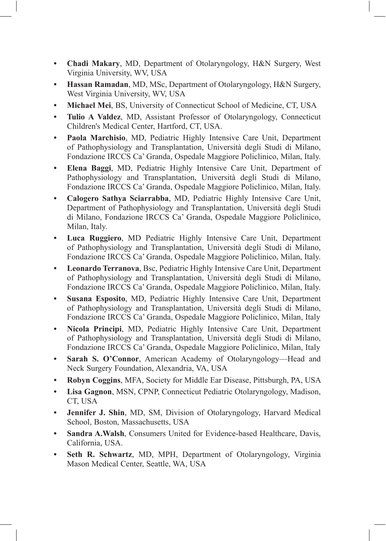- **• Chadi Makary**, MD, Department of Otolaryngology, H&N Surgery, West Virginia University, WV, USA
- **Hassan Ramadan**, MD, MSc, Department of Otolaryngology, H&N Surgery, West Virginia University, WV, USA
- **• Michael Mei**, BS, University of Connecticut School of Medicine, CT, USA
- **• Tulio A Valdez**, MD, Assistant Professor of Otolaryngology, Connecticut Children's Medical Center, Hartford, CT, USA.
- **• Paola Marchisio**, MD, Pediatric Highly Intensive Care Unit, Department of Pathophysiology and Transplantation, Università degli Studi di Milano, Fondazione IRCCS Ca' Granda, Ospedale Maggiore Policlinico, Milan, Italy.
- **• Elena Baggi**, MD, Pediatric Highly Intensive Care Unit, Department of Pathophysiology and Transplantation, Università degli Studi di Milano, Fondazione IRCCS Ca' Granda, Ospedale Maggiore Policlinico, Milan, Italy.
- **• Calogero Sathya Sciarrabba**, MD, Pediatric Highly Intensive Care Unit, Department of Pathophysiology and Transplantation, Università degli Studi di Milano, Fondazione IRCCS Ca' Granda, Ospedale Maggiore Policlinico, Milan, Italy.
- **• Luca Ruggiero**, MD Pediatric Highly Intensive Care Unit, Department of Pathophysiology and Transplantation, Università degli Studi di Milano, Fondazione IRCCS Ca' Granda, Ospedale Maggiore Policlinico, Milan, Italy.
- **• Leonardo Terranova**, Bsc, Pediatric Highly Intensive Care Unit, Department of Pathophysiology and Transplantation, Università degli Studi di Milano, Fondazione IRCCS Ca' Granda, Ospedale Maggiore Policlinico, Milan, Italy.
- **• Susana Esposito**, MD, Pediatric Highly Intensive Care Unit, Department of Pathophysiology and Transplantation, Università degli Studi di Milano, Fondazione IRCCS Ca' Granda, Ospedale Maggiore Policlinico, Milan, Italy
- **• Nicola Principi**, MD, Pediatric Highly Intensive Care Unit, Department of Pathophysiology and Transplantation, Università degli Studi di Milano, Fondazione IRCCS Ca' Granda, Ospedale Maggiore Policlinico, Milan, Italy
- **• Sarah S. O'Connor**, American Academy of Otolaryngology—Head and Neck Surgery Foundation, Alexandria, VA, USA
- **• Robyn Coggins**, MFA, Society for Middle Ear Disease, Pittsburgh, PA, USA
- **• Lisa Gagnon**, MSN, CPNP, Connecticut Pediatric Otolaryngology, Madison, CT, USA
- **• Jennifer J. Shin**, MD, SM, Division of Otolaryngology, Harvard Medical School, Boston, Massachusetts, USA
- **• Sandra A.Walsh**, Consumers United for Evidence-based Healthcare, Davis, California, USA.
- **• Seth R. Schwartz**, MD, MPH, Department of Otolaryngology, Virginia Mason Medical Center, Seattle, WA, USA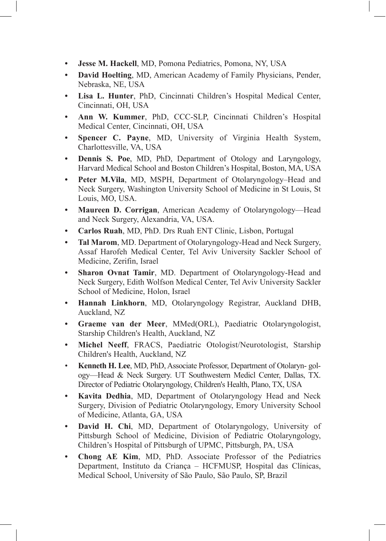- **• Jesse M. Hackell**, MD, Pomona Pediatrics, Pomona, NY, USA
- **• David Hoelting**, MD, American Academy of Family Physicians, Pender, Nebraska, NE, USA
- **• Lisa L. Hunter**, PhD, Cincinnati Children's Hospital Medical Center, Cincinnati, OH, USA
- **• Ann W. Kummer**, PhD, CCC-SLP, Cincinnati Children's Hospital Medical Center, Cincinnati, OH, USA
- **• Spencer C. Payne**, MD, University of Virginia Health System, Charlottesville, VA, USA
- **• Dennis S. Poe**, MD, PhD, Department of Otology and Laryngology, Harvard Medical School and Boston Children's Hospital, Boston, MA, USA
- **• Peter M.Vila**, MD, MSPH, Department of Otolaryngology–Head and Neck Surgery, Washington University School of Medicine in St Louis, St Louis, MO, USA.
- **• Maureen D. Corrigan**, American Academy of Otolaryngology—Head and Neck Surgery, Alexandria, VA, USA.
- **• Carlos Ruah**, MD, PhD. Drs Ruah ENT Clinic, Lisbon, Portugal
- **• Tal Marom**, MD. Department of Otolaryngology-Head and Neck Surgery, Assaf Harofeh Medical Center, Tel Aviv University Sackler School of Medicine, Zerifin, Israel
- **• Sharon Ovnat Tamir**, MD. Department of Otolaryngology-Head and Neck Surgery, Edith Wolfson Medical Center, Tel Aviv University Sackler School of Medicine, Holon, Israel
- **• Hannah Linkhorn**, MD, Otolaryngology Registrar, Auckland DHB, Auckland, NZ
- **• Graeme van der Meer**, MMed(ORL), Paediatric Otolaryngologist, Starship Children's Health, Auckland, NZ
- **• Michel Neeff**, FRACS, Paediatric Otologist/Neurotologist, Starship Children's Health, Auckland, NZ
- • **Kenneth H. Lee**, MD, PhD, Associate Professor, Department of Otolaryn- gology—Head & Neck Surgery. UT Southwestern Medicl Center, Dallas, TX. Director of Pediatric Otolaryngology, Children's Health, Plano, TX, USA
- **• Kavita Dedhia**, MD, Department of Otolaryngology Head and Neck Surgery, Division of Pediatric Otolaryngology, Emory University School of Medicine, Atlanta, GA, USA
- **• David H. Chi**, MD, Department of Otolaryngology, University of Pittsburgh School of Medicine, Division of Pediatric Otolaryngology, Children's Hospital of Pittsburgh of UPMC, Pittsburgh, PA, USA
- **• Chong AE Kim**, MD, PhD. Associate Professor of the Pediatrics Department, Instituto da Criança – HCFMUSP, Hospital das Clínicas, Medical School, University of São Paulo, São Paulo, SP, Brazil